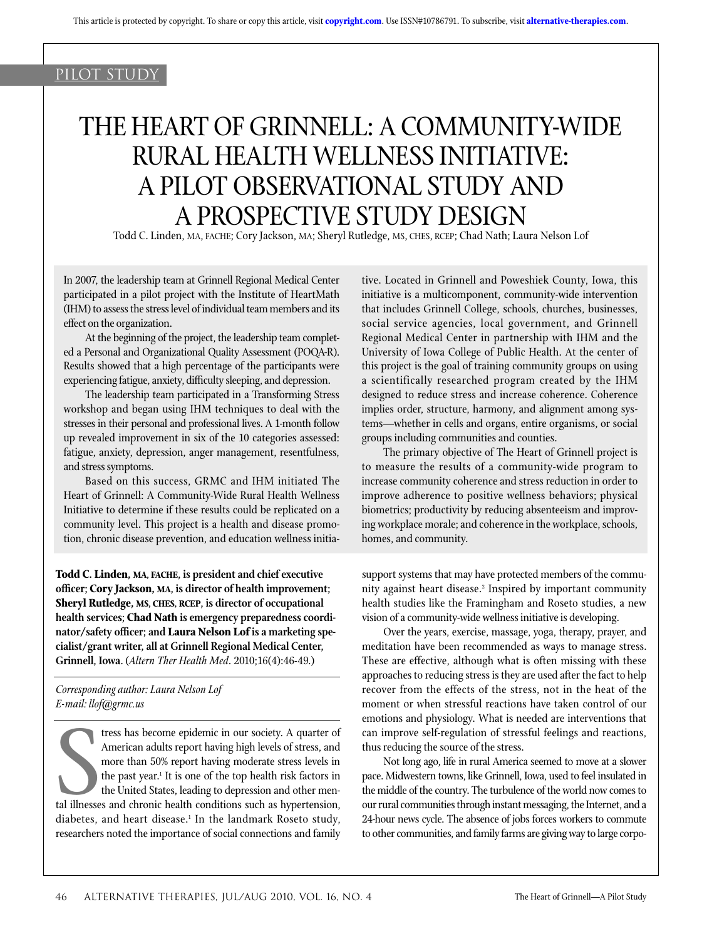## pilot study

# The Heart of Grinnell: A Community-Wide Rural Health Wellness Initiative: A Pilot Observational Study and a Prospective Study Design

Todd C. Linden, MA, FACHE; Cory Jackson, MA; Sheryl Rutledge, MS, CHES, RCEP; Chad Nath; Laura Nelson Lof

In 2007, the leadership team at Grinnell Regional Medical Center participated in a pilot project with the Institute of HeartMath (IHM) to assess the stress level of individual team members and its effect on the organization.

At the beginning of the project, the leadership team completed a Personal and Organizational Quality Assessment (POQA-R). Results showed that a high percentage of the participants were experiencing fatigue, anxiety, difficulty sleeping, and depression.

The leadership team participated in a Transforming Stress workshop and began using IHM techniques to deal with the stresses in their personal and professional lives. A 1-month follow up revealed improvement in six of the 10 categories assessed: fatigue, anxiety, depression, anger management, resentfulness, and stress symptoms.

Based on this success, GRMC and IHM initiated The Heart of Grinnell: A Community-Wide Rural Health Wellness Initiative to determine if these results could be replicated on a community level. This project is a health and disease promotion, chronic disease prevention, and education wellness initia-

**Todd C. Linden, MA, FACHE, is president and chief executive officer; Cory Jackson, MA, is director of health improvement; Sheryl Rutledge, MS, CHES, RCEP, is director of occupational health services; Chad Nath is emergency preparedness coordinator/safety officer; and Laura Nelson Lof is a marketing specialist/grant writer, all at Grinnell Regional Medical Center, Grinnell, Iowa.** (*Altern Ther Health Med*. 2010;16(4):46-49.)

*Corresponding author: Laura Nelson Lof E-mail: llof@grmc.us*

The tress has become epidemic in our society. A quarter of American adults report having high levels of stress, and more than 50% report having moderate stress levels in the past year.<sup>1</sup> It is one of the top health risk f tress has become epidemic in our society. A quarter of American adults report having high levels of stress, and more than 50% report having moderate stress levels in the past year.<sup>1</sup> It is one of the top health risk factors in the United States, leading to depression and other mendiabetes, and heart disease.<sup>1</sup> In the landmark Roseto study, researchers noted the importance of social connections and family tive. Located in Grinnell and Poweshiek County, Iowa, this initiative is a multicomponent, community-wide intervention that includes Grinnell College, schools, churches, businesses, social service agencies, local government, and Grinnell Regional Medical Center in partnership with IHM and the University of Iowa College of Public Health. At the center of this project is the goal of training community groups on using a scientifically researched program created by the IHM designed to reduce stress and increase coherence. Coherence implies order, structure, harmony, and alignment among systems—whether in cells and organs, entire organisms, or social groups including communities and counties.

The primary objective of The Heart of Grinnell project is to measure the results of a community-wide program to increase community coherence and stress reduction in order to improve adherence to positive wellness behaviors; physical biometrics; productivity by reducing absenteeism and improving workplace morale; and coherence in the workplace, schools, homes, and community.

support systems that may have protected members of the community against heart disease.<sup>2</sup> Inspired by important community health studies like the Framingham and Roseto studies, a new vision of a community-wide wellness initiative is developing.

Over the years, exercise, massage, yoga, therapy, prayer, and meditation have been recommended as ways to manage stress. These are effective, although what is often missing with these approaches to reducing stress is they are used after the fact to help recover from the effects of the stress, not in the heat of the moment or when stressful reactions have taken control of our emotions and physiology. What is needed are interventions that can improve self-regulation of stressful feelings and reactions, thus reducing the source of the stress.

Not long ago, life in rural America seemed to move at a slower pace. Midwestern towns, like Grinnell, Iowa, used to feel insulated in the middle of the country. The turbulence of the world now comes to our rural communities through instant messaging, the Internet, and a 24-hour news cycle. The absence of jobs forces workers to commute to other communities, and family farms are giving way to large corpo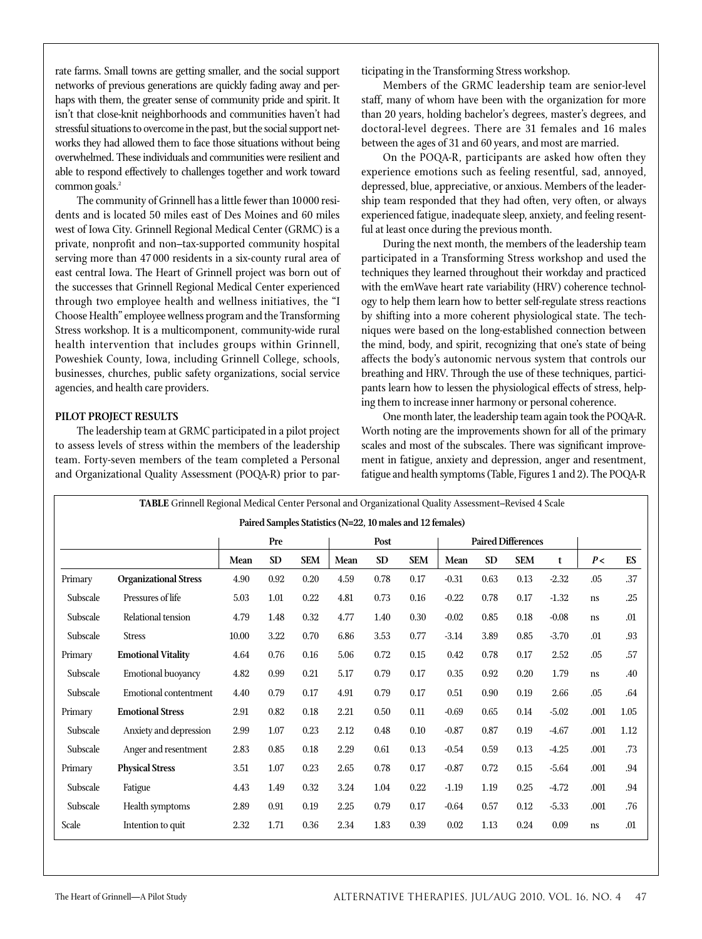rate farms. Small towns are getting smaller, and the social support networks of previous generations are quickly fading away and perhaps with them, the greater sense of community pride and spirit. It isn't that close-knit neighborhoods and communities haven't had stressful situations to overcome in the past, but the social support networks they had allowed them to face those situations without being overwhelmed. These individuals and communities were resilient and able to respond effectively to challenges together and work toward common goals.<sup>2</sup>

The community of Grinnell has a little fewer than 10000 residents and is located 50 miles east of Des Moines and 60 miles west of Iowa City. Grinnell Regional Medical Center (GRMC) is a private, nonprofit and non–tax-supported community hospital serving more than 47 000 residents in a six-county rural area of east central Iowa. The Heart of Grinnell project was born out of the successes that Grinnell Regional Medical Center experienced through two employee health and wellness initiatives, the "I Choose Health" employee wellness program and the Transforming Stress workshop. It is a multicomponent, community-wide rural health intervention that includes groups within Grinnell, Poweshiek County, Iowa, including Grinnell College, schools, businesses, churches, public safety organizations, social service agencies, and health care providers.

#### **Pilot Project Results**

The leadership team at GRMC participated in a pilot project to assess levels of stress within the members of the leadership team. Forty-seven members of the team completed a Personal and Organizational Quality Assessment (POQA-R) prior to participating in the Transforming Stress workshop.

Members of the GRMC leadership team are senior-level staff, many of whom have been with the organization for more than 20 years, holding bachelor's degrees, master's degrees, and doctoral-level degrees. There are 31 females and 16 males between the ages of 31 and 60 years, and most are married.

On the POQA-R, participants are asked how often they experience emotions such as feeling resentful, sad, annoyed, depressed, blue, appreciative, or anxious. Members of the leadership team responded that they had often, very often, or always experienced fatigue, inadequate sleep, anxiety, and feeling resentful at least once during the previous month.

During the next month, the members of the leadership team participated in a Transforming Stress workshop and used the techniques they learned throughout their workday and practiced with the emWave heart rate variability (HRV) coherence technology to help them learn how to better self-regulate stress reactions by shifting into a more coherent physiological state. The techniques were based on the long-established connection between the mind, body, and spirit, recognizing that one's state of being affects the body's autonomic nervous system that controls our breathing and HRV. Through the use of these techniques, participants learn how to lessen the physiological effects of stress, helping them to increase inner harmony or personal coherence.

One month later, the leadership team again took the POQA-R. Worth noting are the improvements shown for all of the primary scales and most of the subscales. There was significant improvement in fatigue, anxiety and depression, anger and resentment, fatigue and health symptoms (Table, Figures 1 and 2). The POQA-R

| TABLE Grinnell Regional Medical Center Personal and Organizational Quality Assessment-Revised 4 Scale |                              |       |           |            |      |           |            |                           |           |            |         |      |      |
|-------------------------------------------------------------------------------------------------------|------------------------------|-------|-----------|------------|------|-----------|------------|---------------------------|-----------|------------|---------|------|------|
| Paired Samples Statistics (N=22, 10 males and 12 females)                                             |                              |       |           |            |      |           |            |                           |           |            |         |      |      |
|                                                                                                       |                              | Pre   |           |            | Post |           |            | <b>Paired Differences</b> |           |            |         |      |      |
|                                                                                                       |                              | Mean  | <b>SD</b> | <b>SEM</b> | Mean | <b>SD</b> | <b>SEM</b> | Mean                      | <b>SD</b> | <b>SEM</b> | t       | P<   | ES   |
| Primary                                                                                               | <b>Organizational Stress</b> | 4.90  | 0.92      | 0.20       | 4.59 | 0.78      | 0.17       | $-0.31$                   | 0.63      | 0.13       | $-2.32$ | .05  | .37  |
| Subscale                                                                                              | Pressures of life            | 5.03  | 1.01      | 0.22       | 4.81 | 0.73      | 0.16       | $-0.22$                   | 0.78      | 0.17       | $-1.32$ | ns   | .25  |
| Subscale                                                                                              | Relational tension           | 4.79  | 1.48      | 0.32       | 4.77 | 1.40      | 0.30       | $-0.02$                   | 0.85      | 0.18       | $-0.08$ | ns   | .01  |
| Subscale                                                                                              | <b>Stress</b>                | 10.00 | 3.22      | 0.70       | 6.86 | 3.53      | 0.77       | $-3.14$                   | 3.89      | 0.85       | $-3.70$ | .01  | .93  |
| Primary                                                                                               | <b>Emotional Vitality</b>    | 4.64  | 0.76      | 0.16       | 5.06 | 0.72      | 0.15       | 0.42                      | 0.78      | 0.17       | 2.52    | .05  | .57  |
| Subscale                                                                                              | <b>Emotional buoyancy</b>    | 4.82  | 0.99      | 0.21       | 5.17 | 0.79      | 0.17       | 0.35                      | 0.92      | 0.20       | 1.79    | ns   | .40  |
| Subscale                                                                                              | <b>Emotional contentment</b> | 4.40  | 0.79      | 0.17       | 4.91 | 0.79      | 0.17       | 0.51                      | 0.90      | 0.19       | 2.66    | .05  | .64  |
| Primary                                                                                               | <b>Emotional Stress</b>      | 2.91  | 0.82      | 0.18       | 2.21 | 0.50      | 0.11       | $-0.69$                   | 0.65      | 0.14       | $-5.02$ | .001 | 1.05 |
| Subscale                                                                                              | Anxiety and depression       | 2.99  | 1.07      | 0.23       | 2.12 | 0.48      | 0.10       | $-0.87$                   | 0.87      | 0.19       | $-4.67$ | .001 | 1.12 |
| Subscale                                                                                              | Anger and resentment         | 2.83  | 0.85      | 0.18       | 2.29 | 0.61      | 0.13       | $-0.54$                   | 0.59      | 0.13       | $-4.25$ | .001 | .73  |
| Primary                                                                                               | <b>Physical Stress</b>       | 3.51  | 1.07      | 0.23       | 2.65 | 0.78      | 0.17       | $-0.87$                   | 0.72      | 0.15       | $-5.64$ | .001 | .94  |
| Subscale                                                                                              | Fatigue                      | 4.43  | 1.49      | 0.32       | 3.24 | 1.04      | 0.22       | $-1.19$                   | 1.19      | 0.25       | $-4.72$ | .001 | .94  |
| Subscale                                                                                              | Health symptoms              | 2.89  | 0.91      | 0.19       | 2.25 | 0.79      | 0.17       | $-0.64$                   | 0.57      | 0.12       | $-5.33$ | .001 | .76  |
| Scale                                                                                                 | Intention to quit            | 2.32  | 1.71      | 0.36       | 2.34 | 1.83      | 0.39       | 0.02                      | 1.13      | 0.24       | 0.09    | ns   | .01  |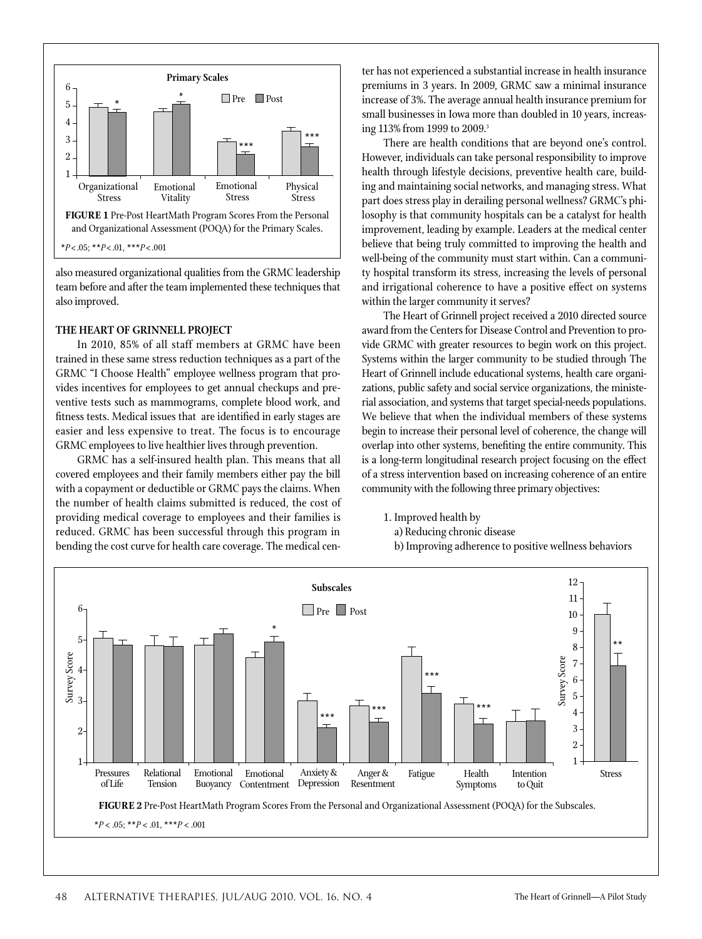

also measured organizational qualities from the GRMC leadership team before and after the team implemented these techniques that also improved.

### **The Heart of Grinnell Project**

In 2010, 85% of all staff members at GRMC have been trained in these same stress reduction techniques as a part of the GRMC "I Choose Health" employee wellness program that provides incentives for employees to get annual checkups and preventive tests such as mammograms, complete blood work, and fitness tests. Medical issues that are identified in early stages are easier and less expensive to treat. The focus is to encourage GRMC employees to live healthier lives through prevention.

GRMC has a self-insured health plan. This means that all covered employees and their family members either pay the bill with a copayment or deductible or GRMC pays the claims. When the number of health claims submitted is reduced, the cost of providing medical coverage to employees and their families is reduced. GRMC has been successful through this program in bending the cost curve for health care coverage. The medical cen-

ter has not experienced a substantial increase in health insurance premiums in 3 years. In 2009, GRMC saw a minimal insurance increase of 3%. The average annual health insurance premium for small businesses in Iowa more than doubled in 10 years, increasing 113% from 1999 to 2009.<sup>3</sup>

There are health conditions that are beyond one's control. However, individuals can take personal responsibility to improve health through lifestyle decisions, preventive health care, building and maintaining social networks, and managing stress. What part does stress play in derailing personal wellness? GRMC's philosophy is that community hospitals can be a catalyst for health improvement, leading by example. Leaders at the medical center believe that being truly committed to improving the health and well-being of the community must start within. Can a community hospital transform its stress, increasing the levels of personal and irrigational coherence to have a positive effect on systems within the larger community it serves?

The Heart of Grinnell project received a 2010 directed source award from the Centers for Disease Control and Prevention to provide GRMC with greater resources to begin work on this project. Systems within the larger community to be studied through The Heart of Grinnell include educational systems, health care organizations, public safety and social service organizations, the ministerial association, and systems that target special-needs populations. We believe that when the individual members of these systems begin to increase their personal level of coherence, the change will overlap into other systems, benefiting the entire community. This is a long-term longitudinal research project focusing on the effect of a stress intervention based on increasing coherence of an entire community with the following three primary objectives:

- 1. Improved health by
	- a) Reducing chronic disease

b) Improving adherence to positive wellness behaviors